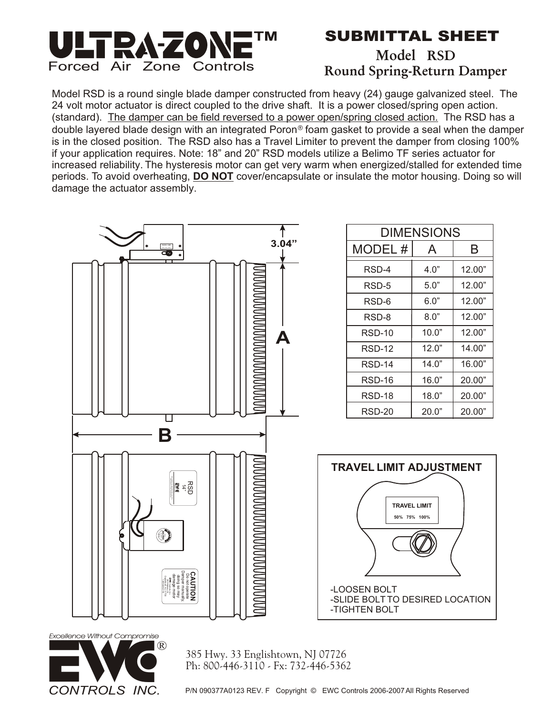

**SUBMITTAL SHEET**

## **Model RSD Round Spring-Return Damper**

Model RSD is a round single blade damper constructed from heavy (24) gauge galvanized steel. The 24 volt motor actuator is direct coupled to the drive shaft. It is a power closed/spring open action. (standard). The damper can be field reversed to a power open/spring closed action. The RSD has a double layered blade design with an integrated Poron**®** foam gasket to provide a seal when the damper is in the closed position. The RSD also has a Travel Limiter to prevent the damper from closing 100% if your application requires. Note: 18" and 20" RSD models utilize a Belimo TF series actuator for increased reliability. The hysteresis motor can get very warm when energized/stalled for extended time periods. To avoid overheating, **DO NOT** cover/encapsulate or insulate the motor housing. Doing so will damage the actuator assembly.





385 Hwy. 33 Englishtown, NJ 07726 Ph: 800-446-3110 - Fx: 732-446-5362